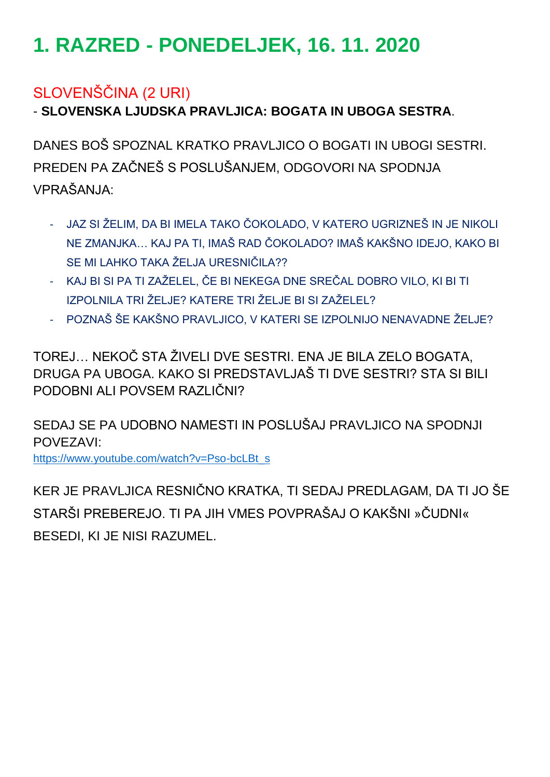# **1. RAZRED - PONEDELJEK, 16. 11. 2020**

## SLOVENŠČINA (2 URI)

- **SLOVENSKA LJUDSKA PRAVLJICA: BOGATA IN UBOGA SESTRA**.

DANES BOŠ SPOZNAL KRATKO PRAVLJICO O BOGATI IN UBOGI SESTRI. PREDEN PA ZAČNEŠ S POSLUŠANJEM, ODGOVORI NA SPODNJA VPRAŠANJA:

- JAZ SI ŽELIM, DA BI IMELA TAKO ČOKOLADO, V KATERO UGRIZNEŠ IN JE NIKOLI NE ZMANJKA… KAJ PA TI, IMAŠ RAD ČOKOLADO? IMAŠ KAKŠNO IDEJO, KAKO BI SE MI LAHKO TAKA ŽELJA URESNIČILA??
- KAJ BI SI PA TI ZAŽELEL, ČE BI NEKEGA DNE SREČAL DOBRO VILO, KI BI TI IZPOLNILA TRI ŽELJE? KATERE TRI ŽELJE BI SI ZAŽELEL?
- POZNAŠ ŠE KAKŠNO PRAVLJICO, V KATERI SE IZPOLNIJO NENAVADNE ŽELJE?

TOREJ… NEKOČ STA ŽIVELI DVE SESTRI. ENA JE BILA ZELO BOGATA, DRUGA PA UBOGA. KAKO SI PREDSTAVLJAŠ TI DVE SESTRI? STA SI BILI PODOBNI ALI POVSEM RAZLIČNI?

SEDAJ SE PA UDOBNO NAMESTI IN POSLUŠAJ PRAVLJICO NA SPODNJI POVEZAVI:

[https://www.youtube.com/watch?v=Pso-bcLBt\\_s](https://www.youtube.com/watch?v=Pso-bcLBt_s)

KER JE PRAVLJICA RESNIČNO KRATKA, TI SEDAJ PREDLAGAM, DA TI JO ŠE STARŠI PREBEREJO. TI PA JIH VMES POVPRAŠAJ O KAKŠNI »ČUDNI« BESEDI, KI JE NISI RAZUMEL.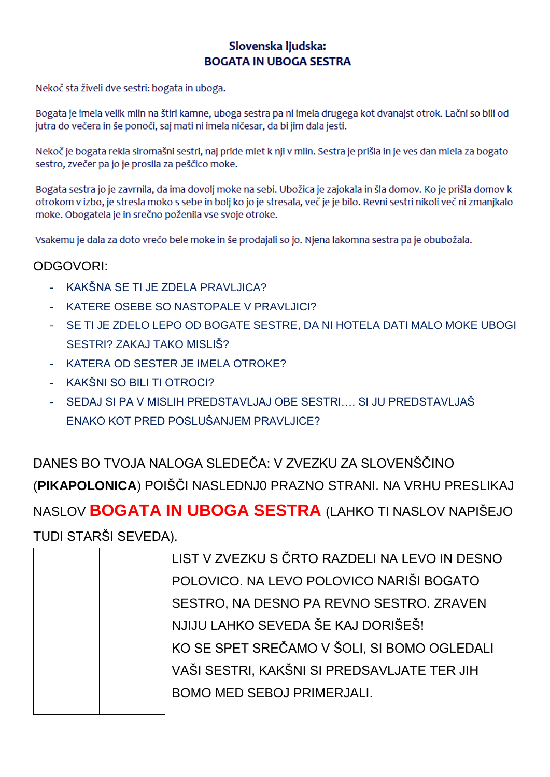#### Slovenska ljudska: **BOGATA IN UBOGA SESTRA**

Nekoč sta živeli dve sestri: bogata in uboga.

Bogata je imela velik mlin na štiri kamne, uboga sestra pa ni imela drugega kot dvanajst otrok. Lačni so bili od jutra do večera in še ponoči, saj mati ni imela ničesar, da bi jim dala jesti.

Nekoč je bogata rekla siromašni sestri, naj pride mlet k nji v mlin. Sestra je prišla in je ves dan mlela za bogato sestro, zvečer pa jo je prosila za peščico moke.

Bogata sestra jo je zavrnila, da ima dovolj moke na sebi. Ubožica je zajokala in šla domov. Ko je prišla domov k otrokom v izbo, je stresla moko s sebe in bolj ko jo je stresala, več je je bilo. Revni sestri nikoli več ni zmanjkalo moke. Obogatela je in srečno poženila vse svoje otroke.

Vsakemu je dala za doto vrečo bele moke in še prodajali so jo. Njena lakomna sestra pa je obubožala.

#### ODGOVORI:

- KAKŠNA SE TI JE ZDELA PRAVLJICA?
- KATERE OSEBE SO NASTOPALE V PRAVLJICI?
- SE TI JE ZDELO LEPO OD BOGATE SESTRE, DA NI HOTELA DATI MALO MOKE UBOGI SESTRI? ZAKAJ TAKO MISLIŠ?
- KATERA OD SESTER JE IMELA OTROKE?
- KAKŠNI SO BILI TI OTROCI?
- SEDAJ SI PA V MISLIH PREDSTAVLJAJ OBE SESTRI.... SI JU PREDSTAVLJAŠ FNAKO KOT PRED POSI UŠANJEM PRAVI JICE?

DANES BO TVOJA NALOGA SLEDEČA: V ZVEZKU ZA SLOVENŠČINO (PIKAPOLONICA) POIŠČI NASLEDNJ0 PRAZNO STRANI. NA VRHU PRESLIKAJ NASLOV BOGATA IN UBOGA SESTRA (LAHKO TI NASLOV NAPIŠEJO TUDI STARŠI SEVEDA).

|  | LIST V ZVEZKU S ČRTO RAZDELI NA LEVO IN DESNO |
|--|-----------------------------------------------|
|  | POLOVICO. NA LEVO POLOVICO NARIŠI BOGATO      |
|  | SESTRO, NA DESNO PA REVNO SESTRO. ZRAVEN      |
|  | NJIJU LAHKO SEVEDA ŠE KAJ DORIŠEŠ!            |
|  | KO SE SPET SREČAMO V ŠOLI, SI BOMO OGLEDALI   |
|  | VAŠI SESTRI, KAKŠNI SI PREDSAVLJATE TER JIH   |
|  | <b>BOMO MED SEBOJ PRIMERJALI.</b>             |
|  |                                               |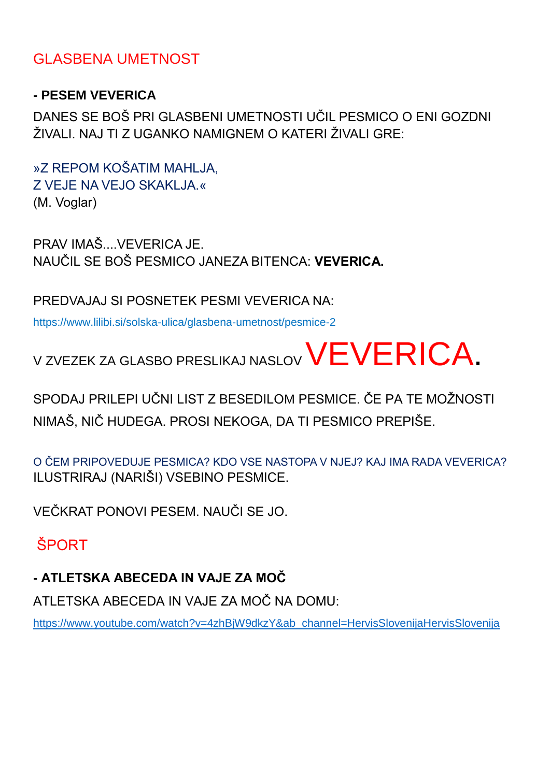### GLASBENA UMETNOST

### **- PESEM VEVERICA**

DANES SE BOŠ PRI GLASBENI UMETNOSTI UČIL PESMICO O ENI GOZDNI ŽIVALI. NAJ TI Z UGANKO NAMIGNEM O KATERI ŽIVALI GRE:

»Z REPOM KOŠATIM MAHLJA, Z VEJE NA VEJO SKAKLJA.« (M. Voglar)

PRAV IMAŠ....VEVERICA JE. NAUČIL SE BOŠ PESMICO JANEZA BITENCA: **VEVERICA.**

PREDVAJAJ SI POSNETEK PESMI VEVERICA NA:

https://www.lilibi.si/solska-ulica/glasbena-umetnost/pesmice-2

V ZVEZEK ZA GLASBO PRESLIKAJ NASLOV VEVERICA.

SPODAJ PRILEPI UČNI LIST Z BESEDILOM PESMICE. ČE PA TE MOŽNOSTI NIMAŠ, NIČ HUDEGA. PROSI NEKOGA, DA TI PESMICO PREPIŠE.

O ČEM PRIPOVEDUJE PESMICA? KDO VSE NASTOPA V NJEJ? KAJ IMA RADA VEVERICA? ILUSTRIRAJ (NARIŠI) VSEBINO PESMICE.

VEČKRAT PONOVI PESEM. NAUČI SE JO.

ŠPORT

**- ATLETSKA ABECEDA IN VAJE ZA MOČ**

ATLETSKA ABECEDA IN VAJE ZA MOČ NA DOMU:

[https://www.youtube.com/watch?v=4zhBjW9dkzY&ab\\_channel=HervisSlovenijaHervisSlovenija](https://www.youtube.com/watch?v=4zhBjW9dkzY&ab_channel=HervisSlovenijaHervisSlovenija)